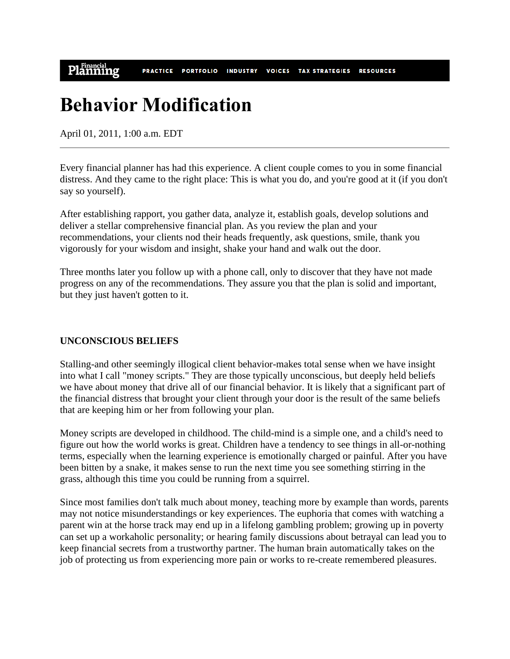Planning **VOICES** TAX STRATEGIES RESOURCES **PRACTICE PORTFOLIO INDUSTRY** 

# **Behavior Modification**

April 01, 2011, 1:00 a.m. EDT

Every financial planner has had this experience. A client couple comes to you in some financial distress. And they came to the right place: This is what you do, and you're good at it (if you don't say so yourself).

After establishing rapport, you gather data, analyze it, establish goals, develop solutions and deliver a stellar comprehensive financial plan. As you review the plan and your recommendations, your clients nod their heads frequently, ask questions, smile, thank you vigorously for your wisdom and insight, shake your hand and walk out the door.

Three months later you follow up with a phone call, only to discover that they have not made progress on any of the recommendations. They assure you that the plan is solid and important, but they just haven't gotten to it.

### **UNCONSCIOUS BELIEFS**

Stalling-and other seemingly illogical client behavior-makes total sense when we have insight into what I call "money scripts." They are those typically unconscious, but deeply held beliefs we have about money that drive all of our financial behavior. It is likely that a significant part of the financial distress that brought your client through your door is the result of the same beliefs that are keeping him or her from following your plan.

Money scripts are developed in childhood. The child-mind is a simple one, and a child's need to figure out how the world works is great. Children have a tendency to see things in all-or-nothing terms, especially when the learning experience is emotionally charged or painful. After you have been bitten by a snake, it makes sense to run the next time you see something stirring in the grass, although this time you could be running from a squirrel.

Since most families don't talk much about money, teaching more by example than words, parents may not notice misunderstandings or key experiences. The euphoria that comes with watching a parent win at the horse track may end up in a lifelong gambling problem; growing up in poverty can set up a workaholic personality; or hearing family discussions about betrayal can lead you to keep financial secrets from a trustworthy partner. The human brain automatically takes on the job of protecting us from experiencing more pain or works to re-create remembered pleasures.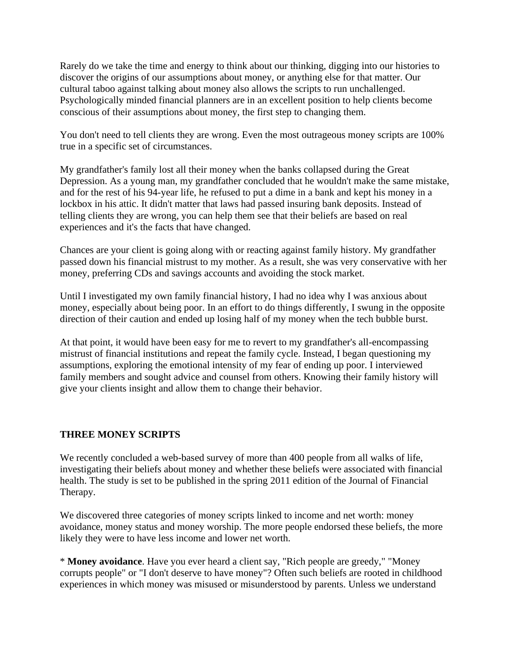Rarely do we take the time and energy to think about our thinking, digging into our histories to discover the origins of our assumptions about money, or anything else for that matter. Our cultural taboo against talking about money also allows the scripts to run unchallenged. Psychologically minded financial planners are in an excellent position to help clients become conscious of their assumptions about money, the first step to changing them.

You don't need to tell clients they are wrong. Even the most outrageous money scripts are 100% true in a specific set of circumstances.

My grandfather's family lost all their money when the banks collapsed during the Great Depression. As a young man, my grandfather concluded that he wouldn't make the same mistake, and for the rest of his 94-year life, he refused to put a dime in a bank and kept his money in a lockbox in his attic. It didn't matter that laws had passed insuring bank deposits. Instead of telling clients they are wrong, you can help them see that their beliefs are based on real experiences and it's the facts that have changed.

Chances are your client is going along with or reacting against family history. My grandfather passed down his financial mistrust to my mother. As a result, she was very conservative with her money, preferring CDs and savings accounts and avoiding the stock market.

Until I investigated my own family financial history, I had no idea why I was anxious about money, especially about being poor. In an effort to do things differently, I swung in the opposite direction of their caution and ended up losing half of my money when the tech bubble burst.

At that point, it would have been easy for me to revert to my grandfather's all-encompassing mistrust of financial institutions and repeat the family cycle. Instead, I began questioning my assumptions, exploring the emotional intensity of my fear of ending up poor. I interviewed family members and sought advice and counsel from others. Knowing their family history will give your clients insight and allow them to change their behavior.

### **THREE MONEY SCRIPTS**

We recently concluded a web-based survey of more than 400 people from all walks of life, investigating their beliefs about money and whether these beliefs were associated with financial health. The study is set to be published in the spring 2011 edition of the Journal of Financial Therapy.

We discovered three categories of money scripts linked to income and net worth: money avoidance, money status and money worship. The more people endorsed these beliefs, the more likely they were to have less income and lower net worth.

\* **Money avoidance**. Have you ever heard a client say, "Rich people are greedy," "Money corrupts people" or "I don't deserve to have money"? Often such beliefs are rooted in childhood experiences in which money was misused or misunderstood by parents. Unless we understand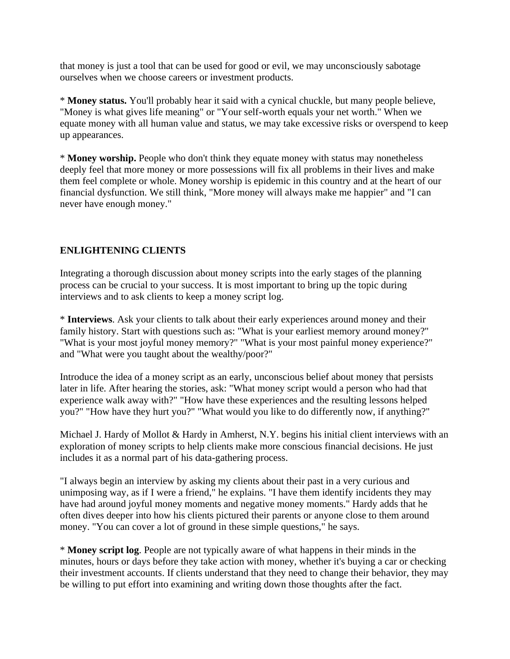that money is just a tool that can be used for good or evil, we may unconsciously sabotage ourselves when we choose careers or investment products.

\* **Money status.** You'll probably hear it said with a cynical chuckle, but many people believe, "Money is what gives life meaning" or "Your self-worth equals your net worth." When we equate money with all human value and status, we may take excessive risks or overspend to keep up appearances.

\* **Money worship.** People who don't think they equate money with status may nonetheless deeply feel that more money or more possessions will fix all problems in their lives and make them feel complete or whole. Money worship is epidemic in this country and at the heart of our financial dysfunction. We still think, "More money will always make me happier" and "I can never have enough money."

## **ENLIGHTENING CLIENTS**

Integrating a thorough discussion about money scripts into the early stages of the planning process can be crucial to your success. It is most important to bring up the topic during interviews and to ask clients to keep a money script log.

\* **Interviews**. Ask your clients to talk about their early experiences around money and their family history. Start with questions such as: "What is your earliest memory around money?" "What is your most joyful money memory?" "What is your most painful money experience?" and "What were you taught about the wealthy/poor?"

Introduce the idea of a money script as an early, unconscious belief about money that persists later in life. After hearing the stories, ask: "What money script would a person who had that experience walk away with?" "How have these experiences and the resulting lessons helped you?" "How have they hurt you?" "What would you like to do differently now, if anything?"

Michael J. Hardy of Mollot & Hardy in Amherst, N.Y. begins his initial client interviews with an exploration of money scripts to help clients make more conscious financial decisions. He just includes it as a normal part of his data-gathering process.

"I always begin an interview by asking my clients about their past in a very curious and unimposing way, as if I were a friend," he explains. "I have them identify incidents they may have had around joyful money moments and negative money moments." Hardy adds that he often dives deeper into how his clients pictured their parents or anyone close to them around money. "You can cover a lot of ground in these simple questions," he says.

\* **Money script log**. People are not typically aware of what happens in their minds in the minutes, hours or days before they take action with money, whether it's buying a car or checking their investment accounts. If clients understand that they need to change their behavior, they may be willing to put effort into examining and writing down those thoughts after the fact.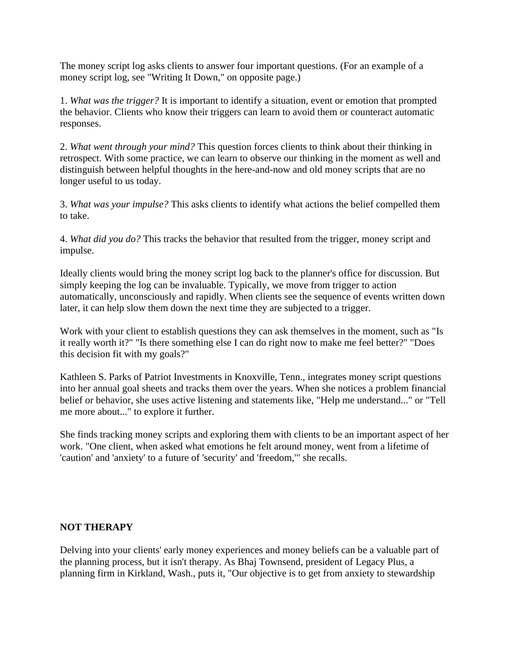The money script log asks clients to answer four important questions. (For an example of a money script log, see "Writing It Down," on opposite page.)

1. *What was the trigger?* It is important to identify a situation, event or emotion that prompted the behavior. Clients who know their triggers can learn to avoid them or counteract automatic responses.

2. *What went through your mind?* This question forces clients to think about their thinking in retrospect. With some practice, we can learn to observe our thinking in the moment as well and distinguish between helpful thoughts in the here-and-now and old money scripts that are no longer useful to us today.

3. *What was your impulse?* This asks clients to identify what actions the belief compelled them to take.

4. *What did you do?* This tracks the behavior that resulted from the trigger, money script and impulse.

Ideally clients would bring the money script log back to the planner's office for discussion. But simply keeping the log can be invaluable. Typically, we move from trigger to action automatically, unconsciously and rapidly. When clients see the sequence of events written down later, it can help slow them down the next time they are subjected to a trigger.

Work with your client to establish questions they can ask themselves in the moment, such as "Is it really worth it?" "Is there something else I can do right now to make me feel better?" "Does this decision fit with my goals?"

Kathleen S. Parks of Patriot Investments in Knoxville, Tenn., integrates money script questions into her annual goal sheets and tracks them over the years. When she notices a problem financial belief or behavior, she uses active listening and statements like, "Help me understand..." or "Tell me more about..." to explore it further.

She finds tracking money scripts and exploring them with clients to be an important aspect of her work. "One client, when asked what emotions he felt around money, went from a lifetime of 'caution' and 'anxiety' to a future of 'security' and 'freedom,'" she recalls.

#### **NOT THERAPY**

Delving into your clients' early money experiences and money beliefs can be a valuable part of the planning process, but it isn't therapy. As Bhaj Townsend, president of Legacy Plus, a planning firm in Kirkland, Wash., puts it, "Our objective is to get from anxiety to stewardship